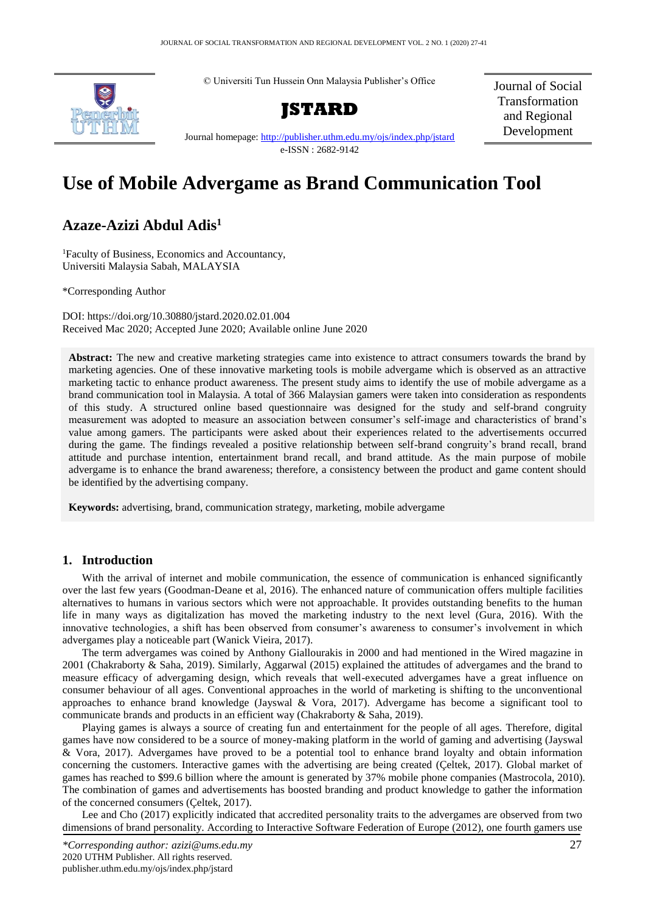



**JSTARD**

Journal of Social Transformation and Regional Development

Journal homepage:<http://publisher.uthm.edu.my/ojs/index.php/jstard> e-ISSN : 2682-9142

# **Use of Mobile Advergame as Brand Communication Tool**

## **Azaze-Azizi Abdul Adis<sup>1</sup>**

<sup>1</sup>Faculty of Business, Economics and Accountancy, Universiti Malaysia Sabah, MALAYSIA

\*Corresponding Author

DOI: https://doi.org/10.30880/jstard.2020.02.01.004 Received Mac 2020; Accepted June 2020; Available online June 2020

**Abstract:** The new and creative marketing strategies came into existence to attract consumers towards the brand by marketing agencies. One of these innovative marketing tools is mobile advergame which is observed as an attractive marketing tactic to enhance product awareness. The present study aims to identify the use of mobile advergame as a brand communication tool in Malaysia. A total of 366 Malaysian gamers were taken into consideration as respondents of this study. A structured online based questionnaire was designed for the study and self-brand congruity measurement was adopted to measure an association between consumer's self-image and characteristics of brand's value among gamers. The participants were asked about their experiences related to the advertisements occurred during the game. The findings revealed a positive relationship between self-brand congruity's brand recall, brand attitude and purchase intention, entertainment brand recall, and brand attitude. As the main purpose of mobile advergame is to enhance the brand awareness; therefore, a consistency between the product and game content should be identified by the advertising company.

**Keywords:** advertising, brand, communication strategy, marketing, mobile advergame

## **1. Introduction**

With the arrival of internet and mobile communication, the essence of communication is enhanced significantly over the last few years (Goodman-Deane et al, 2016). The enhanced nature of communication offers multiple facilities alternatives to humans in various sectors which were not approachable. It provides outstanding benefits to the human life in many ways as digitalization has moved the marketing industry to the next level (Gura, 2016). With the innovative technologies, a shift has been observed from consumer's awareness to consumer's involvement in which advergames play a noticeable part (Wanick Vieira, 2017).

The term advergames was coined by Anthony Giallourakis in 2000 and had mentioned in the Wired magazine in 2001 (Chakraborty & Saha, 2019). Similarly, Aggarwal (2015) explained the attitudes of advergames and the brand to measure efficacy of advergaming design, which reveals that well-executed advergames have a great influence on consumer behaviour of all ages. Conventional approaches in the world of marketing is shifting to the unconventional approaches to enhance brand knowledge (Jayswal & Vora, 2017). Advergame has become a significant tool to communicate brands and products in an efficient way (Chakraborty & Saha, 2019).

Playing games is always a source of creating fun and entertainment for the people of all ages. Therefore, digital games have now considered to be a source of money-making platform in the world of gaming and advertising (Jayswal & Vora, 2017). Advergames have proved to be a potential tool to enhance brand loyalty and obtain information concerning the customers. Interactive games with the advertising are being created (Çeltek, 2017). Global market of games has reached to \$99.6 billion where the amount is generated by 37% mobile phone companies (Mastrocola, 2010). The combination of games and advertisements has boosted branding and product knowledge to gather the information of the concerned consumers (Çeltek, 2017).

Lee and Cho (2017) explicitly indicated that accredited personality traits to the advergames are observed from two dimensions of brand personality. According to Interactive Software Federation of Europe (2012), one fourth gamers use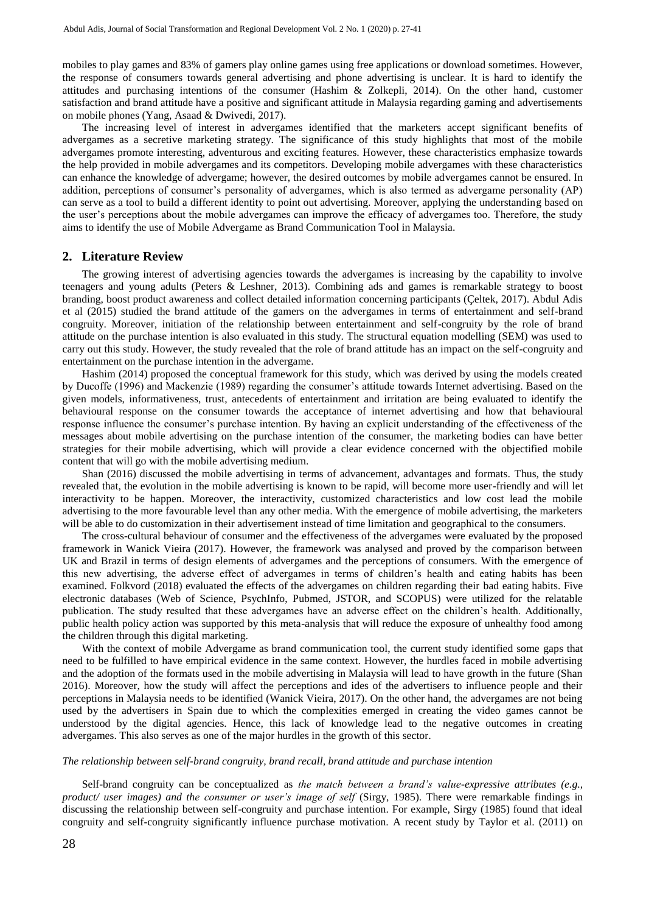mobiles to play games and 83% of gamers play online games using free applications or download sometimes. However, the response of consumers towards general advertising and phone advertising is unclear. It is hard to identify the attitudes and purchasing intentions of the consumer (Hashim & Zolkepli, 2014). On the other hand, customer satisfaction and brand attitude have a positive and significant attitude in Malaysia regarding gaming and advertisements on mobile phones (Yang, Asaad & Dwivedi, 2017).

The increasing level of interest in advergames identified that the marketers accept significant benefits of advergames as a secretive marketing strategy. The significance of this study highlights that most of the mobile advergames promote interesting, adventurous and exciting features. However, these characteristics emphasize towards the help provided in mobile advergames and its competitors. Developing mobile advergames with these characteristics can enhance the knowledge of advergame; however, the desired outcomes by mobile advergames cannot be ensured. In addition, perceptions of consumer's personality of advergames, which is also termed as advergame personality (AP) can serve as a tool to build a different identity to point out advertising. Moreover, applying the understanding based on the user's perceptions about the mobile advergames can improve the efficacy of advergames too. Therefore, the study aims to identify the use of Mobile Advergame as Brand Communication Tool in Malaysia.

## **2. Literature Review**

The growing interest of advertising agencies towards the advergames is increasing by the capability to involve teenagers and young adults (Peters & Leshner, 2013). Combining ads and games is remarkable strategy to boost branding, boost product awareness and collect detailed information concerning participants (Çeltek, 2017). Abdul Adis et al (2015) studied the brand attitude of the gamers on the advergames in terms of entertainment and self-brand congruity. Moreover, initiation of the relationship between entertainment and self-congruity by the role of brand attitude on the purchase intention is also evaluated in this study. The structural equation modelling (SEM) was used to carry out this study. However, the study revealed that the role of brand attitude has an impact on the self-congruity and entertainment on the purchase intention in the advergame.

Hashim (2014) proposed the conceptual framework for this study, which was derived by using the models created by Ducoffe (1996) and Mackenzie (1989) regarding the consumer's attitude towards Internet advertising. Based on the given models, informativeness, trust, antecedents of entertainment and irritation are being evaluated to identify the behavioural response on the consumer towards the acceptance of internet advertising and how that behavioural response influence the consumer's purchase intention. By having an explicit understanding of the effectiveness of the messages about mobile advertising on the purchase intention of the consumer, the marketing bodies can have better strategies for their mobile advertising, which will provide a clear evidence concerned with the objectified mobile content that will go with the mobile advertising medium.

Shan (2016) discussed the mobile advertising in terms of advancement, advantages and formats. Thus, the study revealed that, the evolution in the mobile advertising is known to be rapid, will become more user-friendly and will let interactivity to be happen. Moreover, the interactivity, customized characteristics and low cost lead the mobile advertising to the more favourable level than any other media. With the emergence of mobile advertising, the marketers will be able to do customization in their advertisement instead of time limitation and geographical to the consumers.

The cross-cultural behaviour of consumer and the effectiveness of the advergames were evaluated by the proposed framework in Wanick Vieira (2017). However, the framework was analysed and proved by the comparison between UK and Brazil in terms of design elements of advergames and the perceptions of consumers. With the emergence of this new advertising, the adverse effect of advergames in terms of children's health and eating habits has been examined. Folkvord (2018) evaluated the effects of the advergames on children regarding their bad eating habits. Five electronic databases (Web of Science, PsychInfo, Pubmed, JSTOR, and SCOPUS) were utilized for the relatable publication. The study resulted that these advergames have an adverse effect on the children's health. Additionally, public health policy action was supported by this meta-analysis that will reduce the exposure of unhealthy food among the children through this digital marketing.

With the context of mobile Advergame as brand communication tool, the current study identified some gaps that need to be fulfilled to have empirical evidence in the same context. However, the hurdles faced in mobile advertising and the adoption of the formats used in the mobile advertising in Malaysia will lead to have growth in the future (Shan 2016). Moreover, how the study will affect the perceptions and ides of the advertisers to influence people and their perceptions in Malaysia needs to be identified (Wanick Vieira, 2017). On the other hand, the advergames are not being used by the advertisers in Spain due to which the complexities emerged in creating the video games cannot be understood by the digital agencies. Hence, this lack of knowledge lead to the negative outcomes in creating advergames. This also serves as one of the major hurdles in the growth of this sector.

#### *The relationship between self-brand congruity, brand recall, brand attitude and purchase intention*

Self-brand congruity can be conceptualized as *the match between a brand's value-expressive attributes (e.g., product/ user images) and the consumer or user's image of self* (Sirgy, 1985). There were remarkable findings in discussing the relationship between self-congruity and purchase intention. For example, Sirgy (1985) found that ideal congruity and self-congruity significantly influence purchase motivation. A recent study by Taylor et al. (2011) on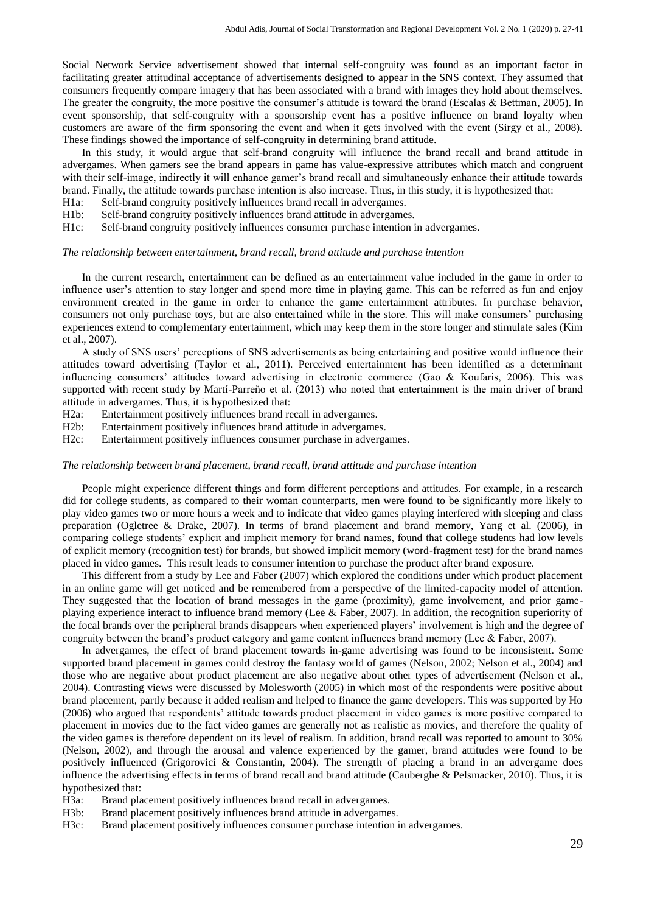Social Network Service advertisement showed that internal self-congruity was found as an important factor in facilitating greater attitudinal acceptance of advertisements designed to appear in the SNS context. They assumed that consumers frequently compare imagery that has been associated with a brand with images they hold about themselves. The greater the congruity, the more positive the consumer's attitude is toward the brand (Escalas & Bettman, 2005). In event sponsorship, that self-congruity with a sponsorship event has a positive influence on brand loyalty when customers are aware of the firm sponsoring the event and when it gets involved with the event (Sirgy et al., 2008). These findings showed the importance of self-congruity in determining brand attitude.

In this study, it would argue that self-brand congruity will influence the brand recall and brand attitude in advergames. When gamers see the brand appears in game has value-expressive attributes which match and congruent with their self-image, indirectly it will enhance gamer's brand recall and simultaneously enhance their attitude towards brand. Finally, the attitude towards purchase intention is also increase. Thus, in this study, it is hypothesized that:

H1a: Self-brand congruity positively influences brand recall in advergames.

H1b: Self-brand congruity positively influences brand attitude in advergames.

H1c: Self-brand congruity positively influences consumer purchase intention in advergames.

#### *The relationship between entertainment, brand recall, brand attitude and purchase intention*

In the current research, entertainment can be defined as an entertainment value included in the game in order to influence user's attention to stay longer and spend more time in playing game. This can be referred as fun and enjoy environment created in the game in order to enhance the game entertainment attributes. In purchase behavior, consumers not only purchase toys, but are also entertained while in the store. This will make consumers' purchasing experiences extend to complementary entertainment, which may keep them in the store longer and stimulate sales (Kim et al., 2007).

A study of SNS users' perceptions of SNS advertisements as being entertaining and positive would influence their attitudes toward advertising (Taylor et al., 2011). Perceived entertainment has been identified as a determinant influencing consumers' attitudes toward advertising in electronic commerce (Gao & Koufaris, 2006). This was supported with recent study by Martí-Parreňo et al. (2013) who noted that entertainment is the main driver of brand attitude in advergames. Thus, it is hypothesized that:

H2a: Entertainment positively influences brand recall in advergames.

H2b: Entertainment positively influences brand attitude in advergames.

H2c: Entertainment positively influences consumer purchase in advergames.

#### *The relationship between brand placement, brand recall, brand attitude and purchase intention*

People might experience different things and form different perceptions and attitudes. For example, in a research did for college students, as compared to their woman counterparts, men were found to be significantly more likely to play video games two or more hours a week and to indicate that video games playing interfered with sleeping and class preparation (Ogletree & Drake, 2007). In terms of brand placement and brand memory, Yang et al. (2006), in comparing college students' explicit and implicit memory for brand names, found that college students had low levels of explicit memory (recognition test) for brands, but showed implicit memory (word-fragment test) for the brand names placed in video games. This result leads to consumer intention to purchase the product after brand exposure.

This different from a study by Lee and Faber (2007) which explored the conditions under which product placement in an online game will get noticed and be remembered from a perspective of the limited-capacity model of attention. They suggested that the location of brand messages in the game (proximity), game involvement, and prior gameplaying experience interact to influence brand memory (Lee & Faber, 2007). In addition, the recognition superiority of the focal brands over the peripheral brands disappears when experienced players' involvement is high and the degree of congruity between the brand's product category and game content influences brand memory (Lee & Faber, 2007).

In advergames, the effect of brand placement towards in-game advertising was found to be inconsistent. Some supported brand placement in games could destroy the fantasy world of games (Nelson, 2002; Nelson et al., 2004) and those who are negative about product placement are also negative about other types of advertisement (Nelson et al., 2004). Contrasting views were discussed by Molesworth (2005) in which most of the respondents were positive about brand placement, partly because it added realism and helped to finance the game developers. This was supported by Ho (2006) who argued that respondents' attitude towards product placement in video games is more positive compared to placement in movies due to the fact video games are generally not as realistic as movies, and therefore the quality of the video games is therefore dependent on its level of realism. In addition, brand recall was reported to amount to 30% (Nelson, 2002), and through the arousal and valence experienced by the gamer, brand attitudes were found to be positively influenced (Grigorovici & Constantin, 2004). The strength of placing a brand in an advergame does influence the advertising effects in terms of brand recall and brand attitude (Cauberghe & Pelsmacker, 2010). Thus, it is hypothesized that:

H3a: Brand placement positively influences brand recall in advergames.

H3b: Brand placement positively influences brand attitude in advergames.

H3c: Brand placement positively influences consumer purchase intention in advergames.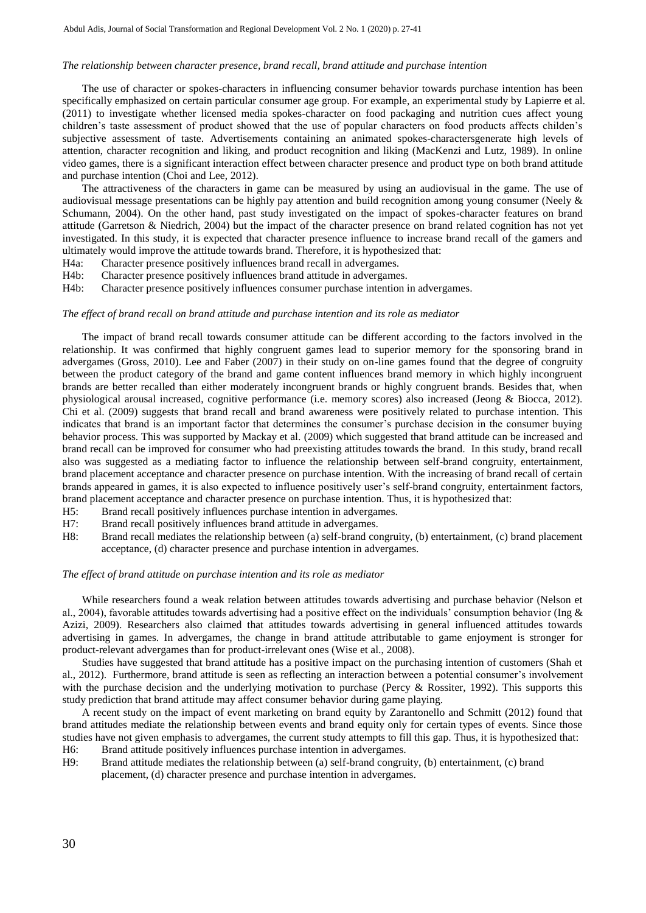#### *The relationship between character presence, brand recall, brand attitude and purchase intention*

The use of character or spokes-characters in influencing consumer behavior towards purchase intention has been specifically emphasized on certain particular consumer age group. For example, an experimental study by Lapierre et al. (2011) to investigate whether licensed media spokes-character on food packaging and nutrition cues affect young children's taste assessment of product showed that the use of popular characters on food products affects childen's subjective assessment of taste. Advertisements containing an animated spokes-charactersgenerate high levels of attention, character recognition and liking, and product recognition and liking (MacKenzi and Lutz, 1989). In online video games, there is a significant interaction effect between character presence and product type on both brand attitude and purchase intention (Choi and Lee, 2012).

The attractiveness of the characters in game can be measured by using an audiovisual in the game. The use of audiovisual message presentations can be highly pay attention and build recognition among young consumer (Neely  $\&$ Schumann, 2004). On the other hand, past study investigated on the impact of spokes-character features on brand attitude (Garretson & Niedrich, 2004) but the impact of the character presence on brand related cognition has not yet investigated. In this study, it is expected that character presence influence to increase brand recall of the gamers and ultimately would improve the attitude towards brand. Therefore, it is hypothesized that:

- H4a: Character presence positively influences brand recall in advergames.
- H4b: Character presence positively influences brand attitude in advergames.
- H4b: Character presence positively influences consumer purchase intention in advergames.

#### *The effect of brand recall on brand attitude and purchase intention and its role as mediator*

The impact of brand recall towards consumer attitude can be different according to the factors involved in the relationship. It was confirmed that highly congruent games lead to superior memory for the sponsoring brand in advergames (Gross, 2010). Lee and Faber (2007) in their study on on-line games found that the degree of congruity between the product category of the brand and game content influences brand memory in which highly incongruent brands are better recalled than either moderately incongruent brands or highly congruent brands. Besides that, when physiological arousal increased, cognitive performance (i.e. memory scores) also increased (Jeong & Biocca, 2012). Chi et al. (2009) suggests that brand recall and brand awareness were positively related to purchase intention. This indicates that brand is an important factor that determines the consumer's purchase decision in the consumer buying behavior process. This was supported by Mackay et al. (2009) which suggested that brand attitude can be increased and brand recall can be improved for consumer who had preexisting attitudes towards the brand. In this study, brand recall also was suggested as a mediating factor to influence the relationship between self-brand congruity, entertainment, brand placement acceptance and character presence on purchase intention. With the increasing of brand recall of certain brands appeared in games, it is also expected to influence positively user's self-brand congruity, entertainment factors, brand placement acceptance and character presence on purchase intention. Thus, it is hypothesized that:

- H5: Brand recall positively influences purchase intention in advergames.
- H7: Brand recall positively influences brand attitude in advergames.
- H8: Brand recall mediates the relationship between (a) self-brand congruity, (b) entertainment, (c) brand placement acceptance, (d) character presence and purchase intention in advergames.

#### *The effect of brand attitude on purchase intention and its role as mediator*

While researchers found a weak relation between attitudes towards advertising and purchase behavior (Nelson et al., 2004), favorable attitudes towards advertising had a positive effect on the individuals' consumption behavior (Ing  $\&$ Azizi, 2009). Researchers also claimed that attitudes towards advertising in general influenced attitudes towards advertising in games. In advergames, the change in brand attitude attributable to game enjoyment is stronger for product-relevant advergames than for product-irrelevant ones (Wise et al., 2008).

Studies have suggested that brand attitude has a positive impact on the purchasing intention of customers (Shah et al., 2012). Furthermore, brand attitude is seen as reflecting an interaction between a potential consumer's involvement with the purchase decision and the underlying motivation to purchase (Percy & Rossiter, 1992). This supports this study prediction that brand attitude may affect consumer behavior during game playing.

A recent study on the impact of event marketing on brand equity by Zarantonello and Schmitt (2012) found that brand attitudes mediate the relationship between events and brand equity only for certain types of events. Since those studies have not given emphasis to advergames, the current study attempts to fill this gap. Thus, it is hypothesized that:

- H6: Brand attitude positively influences purchase intention in advergames.
- H9: Brand attitude mediates the relationship between (a) self-brand congruity, (b) entertainment, (c) brand placement, (d) character presence and purchase intention in advergames.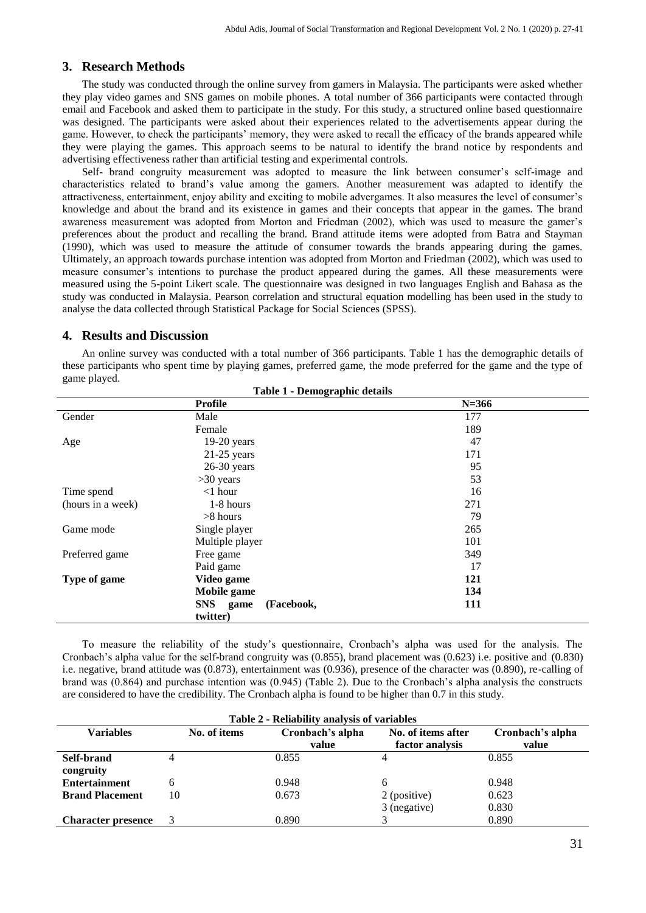## **3. Research Methods**

The study was conducted through the online survey from gamers in Malaysia. The participants were asked whether they play video games and SNS games on mobile phones. A total number of 366 participants were contacted through email and Facebook and asked them to participate in the study. For this study, a structured online based questionnaire was designed. The participants were asked about their experiences related to the advertisements appear during the game. However, to check the participants' memory, they were asked to recall the efficacy of the brands appeared while they were playing the games. This approach seems to be natural to identify the brand notice by respondents and advertising effectiveness rather than artificial testing and experimental controls.

Self- brand congruity measurement was adopted to measure the link between consumer's self-image and characteristics related to brand's value among the gamers. Another measurement was adapted to identify the attractiveness, entertainment, enjoy ability and exciting to mobile advergames. It also measures the level of consumer's knowledge and about the brand and its existence in games and their concepts that appear in the games. The brand awareness measurement was adopted from Morton and Friedman (2002), which was used to measure the gamer's preferences about the product and recalling the brand. Brand attitude items were adopted from Batra and Stayman (1990), which was used to measure the attitude of consumer towards the brands appearing during the games. Ultimately, an approach towards purchase intention was adopted from Morton and Friedman (2002), which was used to measure consumer's intentions to purchase the product appeared during the games. All these measurements were measured using the 5-point Likert scale. The questionnaire was designed in two languages English and Bahasa as the study was conducted in Malaysia. Pearson correlation and structural equation modelling has been used in the study to analyse the data collected through Statistical Package for Social Sciences (SPSS).

## **4. Results and Discussion**

An online survey was conducted with a total number of 366 participants. Table 1 has the demographic details of these participants who spent time by playing games, preferred game, the mode preferred for the game and the type of game played.

| Table 1 - Demographic details |                        |     |  |  |  |  |
|-------------------------------|------------------------|-----|--|--|--|--|
|                               | $N = 366$              |     |  |  |  |  |
| Gender                        | Male                   | 177 |  |  |  |  |
|                               | Female                 | 189 |  |  |  |  |
| Age                           | $19-20$ years          | 47  |  |  |  |  |
|                               | $21-25$ years          | 171 |  |  |  |  |
|                               | $26-30$ years          | 95  |  |  |  |  |
|                               | $>30$ years            | 53  |  |  |  |  |
| Time spend                    | $<$ 1 hour             | 16  |  |  |  |  |
| (hours in a week)             | 1-8 hours              | 271 |  |  |  |  |
|                               | $>8$ hours             | 79  |  |  |  |  |
| Game mode                     | Single player          | 265 |  |  |  |  |
|                               | Multiple player        | 101 |  |  |  |  |
| Preferred game                | Free game              | 349 |  |  |  |  |
|                               | Paid game              | 17  |  |  |  |  |
| Type of game                  | Video game             | 121 |  |  |  |  |
|                               | Mobile game            | 134 |  |  |  |  |
|                               | SNS game<br>(Facebook, | 111 |  |  |  |  |
|                               | twitter)               |     |  |  |  |  |

To measure the reliability of the study's questionnaire, Cronbach's alpha was used for the analysis. The Cronbach's alpha value for the self-brand congruity was (0.855), brand placement was (0.623) i.e. positive and (0.830) i.e. negative, brand attitude was (0.873), entertainment was (0.936), presence of the character was (0.890), re-calling of brand was (0.864) and purchase intention was (0.945) (Table 2). Due to the Cronbach's alpha analysis the constructs are considered to have the credibility. The Cronbach alpha is found to be higher than 0.7 in this study.

| Table 2 - Reliability analysis of variables |                                  |       |                    |                  |  |  |  |
|---------------------------------------------|----------------------------------|-------|--------------------|------------------|--|--|--|
| <b>Variables</b>                            | Cronbach's alpha<br>No. of items |       | No. of items after | Cronbach's alpha |  |  |  |
|                                             |                                  | value | factor analysis    | value            |  |  |  |
| Self-brand                                  |                                  | 0.855 |                    | 0.855            |  |  |  |
| congruity                                   |                                  |       |                    |                  |  |  |  |
| <b>Entertainment</b>                        | 6                                | 0.948 | 6                  | 0.948            |  |  |  |
| <b>Brand Placement</b>                      | 10                               | 0.673 | 2 (positive)       | 0.623            |  |  |  |
|                                             |                                  |       | 3 (negative)       | 0.830            |  |  |  |
| <b>Character presence</b>                   |                                  | 0.890 |                    | 0.890            |  |  |  |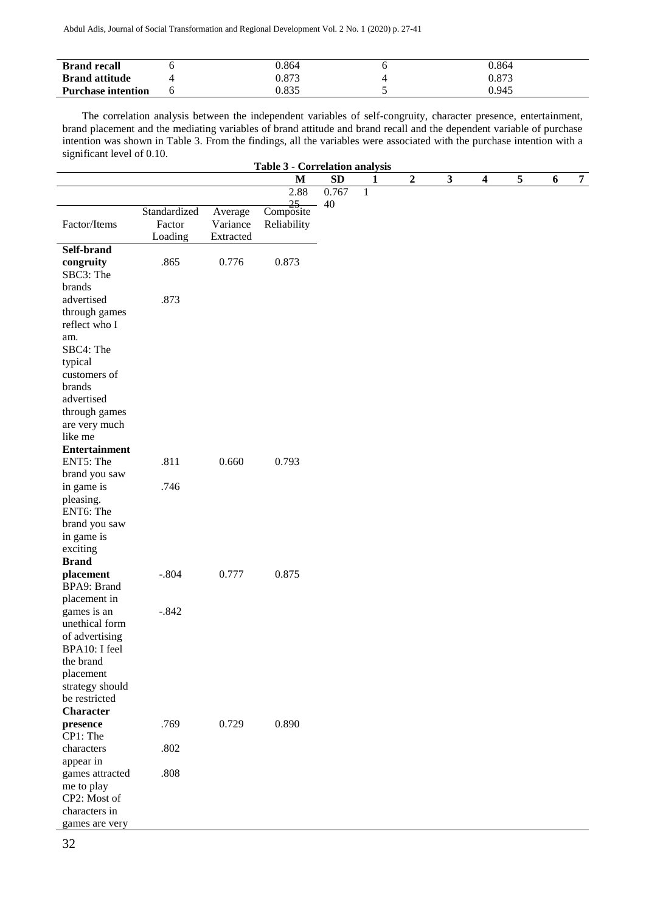| <b>Brand recall</b>       | 1.864 | 0.864 |
|---------------------------|-------|-------|
| <b>Brand attitude</b>     | 0.873 | 0.873 |
| <b>Purchase intention</b> | 0.835 | 0.945 |

The correlation analysis between the independent variables of self-congruity, character presence, entertainment, brand placement and the mediating variables of brand attitude and brand recall and the dependent variable of purchase intention was shown in Table 3. From the findings, all the variables were associated with the purchase intention with a significant level of 0.10. **Table 3 - Correlation analysis**

| Table 3 - Correlation analysis |              |           |                             |           |              |   |             |              |                  |   |                  |                |
|--------------------------------|--------------|-----------|-----------------------------|-----------|--------------|---|-------------|--------------|------------------|---|------------------|----------------|
|                                |              |           | M                           | <b>SD</b> |              | 1 | $\mathbf 2$ | $\mathbf{3}$ | $\boldsymbol{4}$ | 5 | $\boldsymbol{6}$ | $\overline{7}$ |
|                                |              |           | 2.88                        | 0.767     | $\mathbf{1}$ |   |             |              |                  |   |                  |                |
|                                | Standardized | Average   | $rac{25}{\text{Composite}}$ | 40        |              |   |             |              |                  |   |                  |                |
| Factor/Items                   | Factor       | Variance  | Reliability                 |           |              |   |             |              |                  |   |                  |                |
|                                | Loading      | Extracted |                             |           |              |   |             |              |                  |   |                  |                |
| Self-brand                     |              |           |                             |           |              |   |             |              |                  |   |                  |                |
| congruity                      | .865         | 0.776     | 0.873                       |           |              |   |             |              |                  |   |                  |                |
| SBC3: The                      |              |           |                             |           |              |   |             |              |                  |   |                  |                |
| brands                         |              |           |                             |           |              |   |             |              |                  |   |                  |                |
| advertised                     | .873         |           |                             |           |              |   |             |              |                  |   |                  |                |
| through games                  |              |           |                             |           |              |   |             |              |                  |   |                  |                |
| reflect who I                  |              |           |                             |           |              |   |             |              |                  |   |                  |                |
| am.                            |              |           |                             |           |              |   |             |              |                  |   |                  |                |
| SBC4: The                      |              |           |                             |           |              |   |             |              |                  |   |                  |                |
| typical                        |              |           |                             |           |              |   |             |              |                  |   |                  |                |
| customers of                   |              |           |                             |           |              |   |             |              |                  |   |                  |                |
| brands                         |              |           |                             |           |              |   |             |              |                  |   |                  |                |
| advertised                     |              |           |                             |           |              |   |             |              |                  |   |                  |                |
| through games                  |              |           |                             |           |              |   |             |              |                  |   |                  |                |
| are very much                  |              |           |                             |           |              |   |             |              |                  |   |                  |                |
| like me                        |              |           |                             |           |              |   |             |              |                  |   |                  |                |
| <b>Entertainment</b>           |              |           |                             |           |              |   |             |              |                  |   |                  |                |
| ENT5: The                      | .811         | 0.660     | 0.793                       |           |              |   |             |              |                  |   |                  |                |
| brand you saw                  |              |           |                             |           |              |   |             |              |                  |   |                  |                |
| in game is                     | .746         |           |                             |           |              |   |             |              |                  |   |                  |                |
| pleasing.                      |              |           |                             |           |              |   |             |              |                  |   |                  |                |
| ENT6: The                      |              |           |                             |           |              |   |             |              |                  |   |                  |                |
| brand you saw                  |              |           |                             |           |              |   |             |              |                  |   |                  |                |
| in game is                     |              |           |                             |           |              |   |             |              |                  |   |                  |                |
| exciting                       |              |           |                             |           |              |   |             |              |                  |   |                  |                |
| <b>Brand</b>                   |              |           |                             |           |              |   |             |              |                  |   |                  |                |
| placement                      | $-.804$      | 0.777     | 0.875                       |           |              |   |             |              |                  |   |                  |                |
| BPA9: Brand                    |              |           |                             |           |              |   |             |              |                  |   |                  |                |
| placement in                   |              |           |                             |           |              |   |             |              |                  |   |                  |                |
| games is an                    | $-.842$      |           |                             |           |              |   |             |              |                  |   |                  |                |
| unethical form                 |              |           |                             |           |              |   |             |              |                  |   |                  |                |
| of advertising                 |              |           |                             |           |              |   |             |              |                  |   |                  |                |
| BPA10: I feel                  |              |           |                             |           |              |   |             |              |                  |   |                  |                |
| the brand                      |              |           |                             |           |              |   |             |              |                  |   |                  |                |
| placement                      |              |           |                             |           |              |   |             |              |                  |   |                  |                |
| strategy should                |              |           |                             |           |              |   |             |              |                  |   |                  |                |
| be restricted                  |              |           |                             |           |              |   |             |              |                  |   |                  |                |
| <b>Character</b>               |              |           |                             |           |              |   |             |              |                  |   |                  |                |
| presence                       | .769         | 0.729     | 0.890                       |           |              |   |             |              |                  |   |                  |                |
| CP1: The                       |              |           |                             |           |              |   |             |              |                  |   |                  |                |
| characters                     | .802         |           |                             |           |              |   |             |              |                  |   |                  |                |
| appear in                      |              |           |                             |           |              |   |             |              |                  |   |                  |                |
| games attracted                | .808         |           |                             |           |              |   |             |              |                  |   |                  |                |
| me to play<br>CP2: Most of     |              |           |                             |           |              |   |             |              |                  |   |                  |                |
| characters in                  |              |           |                             |           |              |   |             |              |                  |   |                  |                |
| games are very                 |              |           |                             |           |              |   |             |              |                  |   |                  |                |
|                                |              |           |                             |           |              |   |             |              |                  |   |                  |                |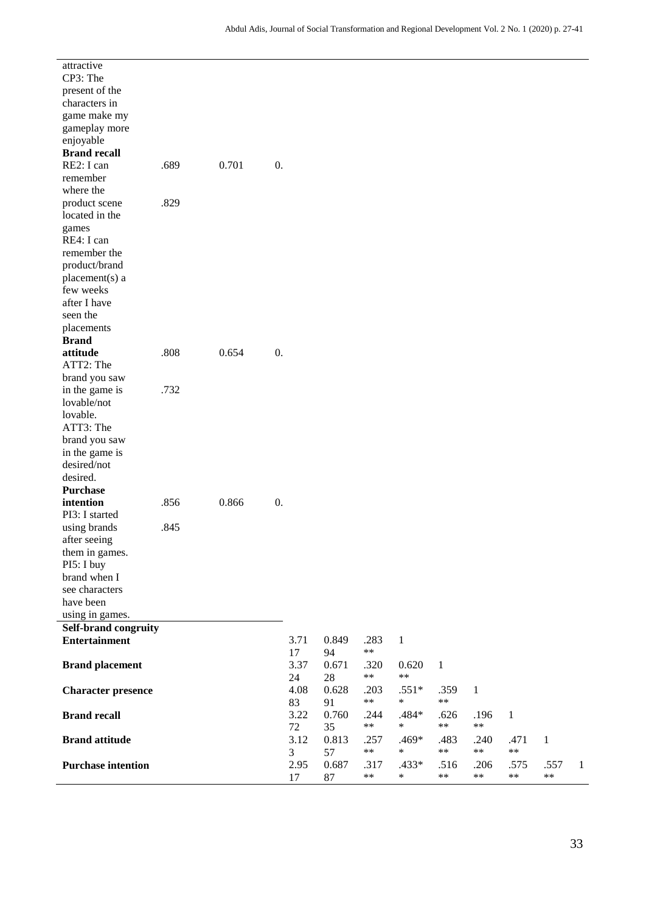| attractive                                   |      |       |                |           |             |               |                 |              |               |              |            |
|----------------------------------------------|------|-------|----------------|-----------|-------------|---------------|-----------------|--------------|---------------|--------------|------------|
| CP3: The                                     |      |       |                |           |             |               |                 |              |               |              |            |
| present of the                               |      |       |                |           |             |               |                 |              |               |              |            |
| characters in                                |      |       |                |           |             |               |                 |              |               |              |            |
| game make my                                 |      |       |                |           |             |               |                 |              |               |              |            |
| gameplay more                                |      |       |                |           |             |               |                 |              |               |              |            |
| enjoyable                                    |      |       |                |           |             |               |                 |              |               |              |            |
| <b>Brand recall</b>                          |      |       |                |           |             |               |                 |              |               |              |            |
| RE2: I can                                   | .689 | 0.701 | 0.             |           |             |               |                 |              |               |              |            |
| remember                                     |      |       |                |           |             |               |                 |              |               |              |            |
| where the                                    |      |       |                |           |             |               |                 |              |               |              |            |
| product scene                                | .829 |       |                |           |             |               |                 |              |               |              |            |
| located in the                               |      |       |                |           |             |               |                 |              |               |              |            |
| games                                        |      |       |                |           |             |               |                 |              |               |              |            |
| RE4: I can                                   |      |       |                |           |             |               |                 |              |               |              |            |
| remember the                                 |      |       |                |           |             |               |                 |              |               |              |            |
| product/brand                                |      |       |                |           |             |               |                 |              |               |              |            |
| placement(s) a<br>few weeks                  |      |       |                |           |             |               |                 |              |               |              |            |
| after I have                                 |      |       |                |           |             |               |                 |              |               |              |            |
| seen the                                     |      |       |                |           |             |               |                 |              |               |              |            |
| placements                                   |      |       |                |           |             |               |                 |              |               |              |            |
| <b>Brand</b>                                 |      |       |                |           |             |               |                 |              |               |              |            |
| attitude                                     | .808 | 0.654 | 0.             |           |             |               |                 |              |               |              |            |
| ATT2: The                                    |      |       |                |           |             |               |                 |              |               |              |            |
| brand you saw                                |      |       |                |           |             |               |                 |              |               |              |            |
| in the game is                               | .732 |       |                |           |             |               |                 |              |               |              |            |
| lovable/not                                  |      |       |                |           |             |               |                 |              |               |              |            |
| lovable.                                     |      |       |                |           |             |               |                 |              |               |              |            |
| ATT3: The                                    |      |       |                |           |             |               |                 |              |               |              |            |
| brand you saw                                |      |       |                |           |             |               |                 |              |               |              |            |
| in the game is<br>desired/not                |      |       |                |           |             |               |                 |              |               |              |            |
| desired.                                     |      |       |                |           |             |               |                 |              |               |              |            |
| <b>Purchase</b>                              |      |       |                |           |             |               |                 |              |               |              |            |
| intention                                    | .856 | 0.866 | $\mathbf{0}$ . |           |             |               |                 |              |               |              |            |
| PI3: I started                               |      |       |                |           |             |               |                 |              |               |              |            |
| using brands                                 | .845 |       |                |           |             |               |                 |              |               |              |            |
| after seeing                                 |      |       |                |           |             |               |                 |              |               |              |            |
| them in games.                               |      |       |                |           |             |               |                 |              |               |              |            |
| PI5: I buy                                   |      |       |                |           |             |               |                 |              |               |              |            |
| brand when I                                 |      |       |                |           |             |               |                 |              |               |              |            |
| see characters                               |      |       |                |           |             |               |                 |              |               |              |            |
| have been                                    |      |       |                |           |             |               |                 |              |               |              |            |
| using in games.                              |      |       |                |           |             |               |                 |              |               |              |            |
| Self-brand congruity<br><b>Entertainment</b> |      |       |                | 3.71      | 0.849       | .283          | $\mathbf{1}$    |              |               |              |            |
|                                              |      |       |                | 17        | 94          | $**$          |                 |              |               |              |            |
| <b>Brand placement</b>                       |      |       |                | 3.37      | 0.671       | .320          | 0.620           | $\mathbf{1}$ |               |              |            |
|                                              |      |       |                | 24        | 28          | **            | $***$           |              |               |              |            |
| <b>Character presence</b>                    |      |       |                | 4.08      | 0.628       | .203          | $.551*$         | .359         | $\mathbf{1}$  |              |            |
|                                              |      |       |                | 83        | 91          | **            | $\ast$          | **           |               |              |            |
| <b>Brand recall</b>                          |      |       |                | 3.22      | 0.760       | .244          | .484*           | .626         | .196          | $\mathbf{1}$ |            |
|                                              |      |       |                | 72        | 35          | **            | $\ast$          | **           | $***$         |              |            |
| <b>Brand attitude</b>                        |      |       |                | 3.12      | 0.813       | .257<br>**    | .469*<br>$\ast$ | .483<br>**   | .240<br>$***$ | .471<br>**   | 1          |
| <b>Purchase intention</b>                    |      |       |                | 3<br>2.95 | 57          |               |                 |              |               | .575         |            |
|                                              |      |       |                | 17        | 0.687<br>87 | .317<br>$***$ | .433*<br>*      | .516<br>**   | .206<br>$***$ | **           | .55'<br>** |
|                                              |      |       |                |           |             |               |                 |              |               |              |            |

.557 1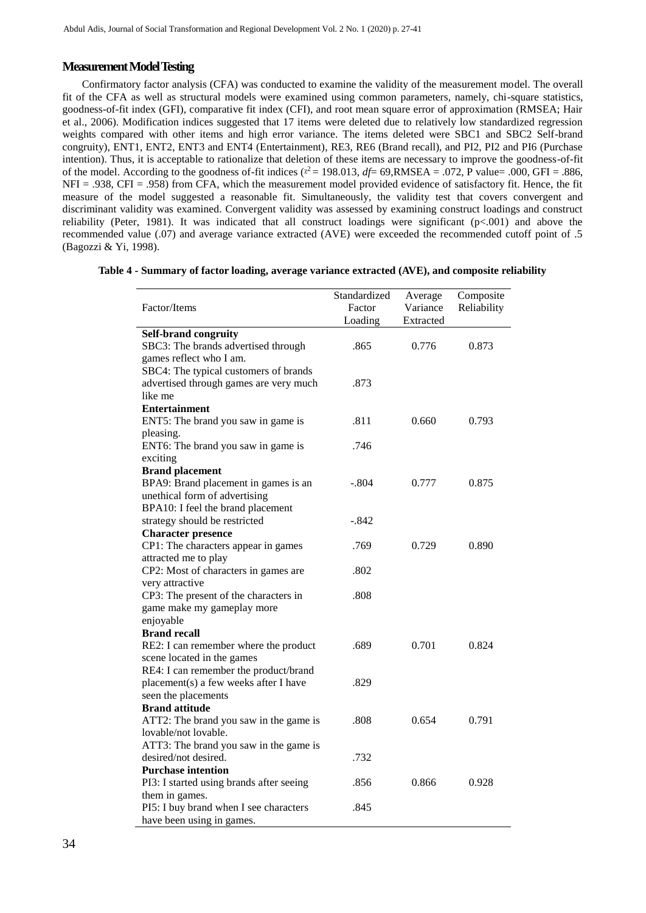## **Measurement Model Testing**

Confirmatory factor analysis (CFA) was conducted to examine the validity of the measurement model. The overall fit of the CFA as well as structural models were examined using common parameters, namely, chi-square statistics, goodness-of-fit index (GFI), comparative fit index (CFI), and root mean square error of approximation (RMSEA; Hair et al., 2006). Modification indices suggested that 17 items were deleted due to relatively low standardized regression weights compared with other items and high error variance. The items deleted were SBC1 and SBC2 Self-brand congruity), ENT1, ENT2, ENT3 and ENT4 (Entertainment), RE3, RE6 (Brand recall), and PI2, PI2 and PI6 (Purchase intention). Thus, it is acceptable to rationalize that deletion of these items are necessary to improve the goodness-of-fit of the model. According to the goodness of-fit indices ( $x^2 = 198.013$ ,  $df = 69$ , RMSEA = .072, P value= .000, GFI = .886, NFI = .938, CFI = .958) from CFA, which the measurement model provided evidence of satisfactory fit. Hence, the fit measure of the model suggested a reasonable fit. Simultaneously, the validity test that covers convergent and discriminant validity was examined. Convergent validity was assessed by examining construct loadings and construct reliability (Peter, 1981). It was indicated that all construct loadings were significant  $(p<0.01)$  and above the recommended value (.07) and average variance extracted (AVE) were exceeded the recommended cutoff point of .5 (Bagozzi & Yi, 1998).

|  |  |  | Table 4 - Summary of factor loading, average variance extracted (AVE), and composite reliability |  |
|--|--|--|--------------------------------------------------------------------------------------------------|--|
|--|--|--|--------------------------------------------------------------------------------------------------|--|

|                                          | Standardized | Average   | Composite   |
|------------------------------------------|--------------|-----------|-------------|
| Factor/Items                             | Factor       | Variance  | Reliability |
|                                          | Loading      | Extracted |             |
| Self-brand congruity                     |              |           |             |
| SBC3: The brands advertised through      | .865         | 0.776     | 0.873       |
| games reflect who I am.                  |              |           |             |
| SBC4: The typical customers of brands    |              |           |             |
| advertised through games are very much   | .873         |           |             |
| like me                                  |              |           |             |
| <b>Entertainment</b>                     |              |           |             |
| ENT5: The brand you saw in game is       | .811         | 0.660     | 0.793       |
| pleasing.                                |              |           |             |
| ENT6: The brand you saw in game is       | .746         |           |             |
| exciting                                 |              |           |             |
| <b>Brand placement</b>                   |              |           |             |
| BPA9: Brand placement in games is an     | $-.804$      | 0.777     | 0.875       |
| unethical form of advertising            |              |           |             |
| BPA10: I feel the brand placement        |              |           |             |
| strategy should be restricted            | $-.842$      |           |             |
| <b>Character presence</b>                |              |           |             |
| CP1: The characters appear in games      | .769         | 0.729     | 0.890       |
| attracted me to play                     |              |           |             |
| CP2: Most of characters in games are     | .802         |           |             |
| very attractive                          |              |           |             |
| CP3: The present of the characters in    | .808         |           |             |
| game make my gameplay more               |              |           |             |
| enjoyable                                |              |           |             |
| <b>Brand recall</b>                      |              |           |             |
| RE2: I can remember where the product    | .689         | 0.701     | 0.824       |
| scene located in the games               |              |           |             |
| RE4: I can remember the product/brand    |              |           |             |
| placement(s) a few weeks after I have    | .829         |           |             |
| seen the placements                      |              |           |             |
| <b>Brand attitude</b>                    |              |           |             |
| ATT2: The brand you saw in the game is   | .808         | 0.654     | 0.791       |
| lovable/not lovable.                     |              |           |             |
| ATT3: The brand you saw in the game is   |              |           |             |
| desired/not desired.                     | .732         |           |             |
| <b>Purchase intention</b>                |              |           |             |
| PI3: I started using brands after seeing | .856         | 0.866     | 0.928       |
| them in games.                           |              |           |             |
| PI5: I buy brand when I see characters   | .845         |           |             |
| have been using in games.                |              |           |             |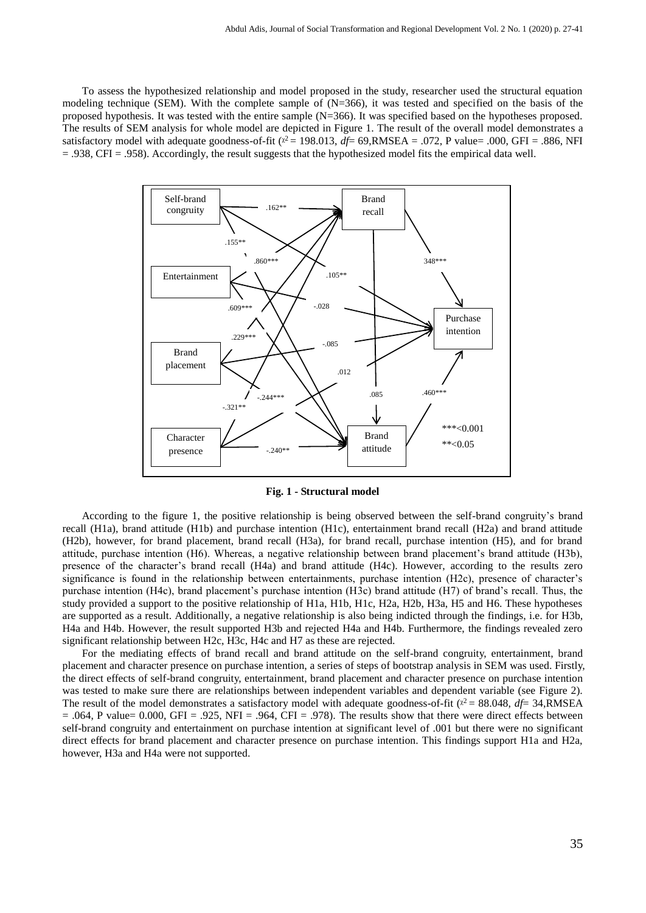To assess the hypothesized relationship and model proposed in the study, researcher used the structural equation modeling technique (SEM). With the complete sample of  $(N=366)$ , it was tested and specified on the basis of the proposed hypothesis. It was tested with the entire sample (N=366). It was specified based on the hypotheses proposed. The results of SEM analysis for whole model are depicted in Figure 1. The result of the overall model demonstrates a satisfactory model with adequate goodness-of-fit  $(\chi^2 = 198.013, df = 69, RMSEA = .072, P$  value= .000, GFI = .886, NFI = .938, CFI = .958). Accordingly, the result suggests that the hypothesized model fits the empirical data well.



**Fig. 1 - Structural model**

According to the figure 1, the positive relationship is being observed between the self-brand congruity's brand recall (H1a), brand attitude (H1b) and purchase intention (H1c), entertainment brand recall (H2a) and brand attitude (H2b), however, for brand placement, brand recall (H3a), for brand recall, purchase intention (H5), and for brand attitude, purchase intention (H6). Whereas, a negative relationship between brand placement's brand attitude (H3b), presence of the character's brand recall (H4a) and brand attitude (H4c). However, according to the results zero significance is found in the relationship between entertainments, purchase intention (H2c), presence of character's purchase intention (H4c), brand placement's purchase intention (H3c) brand attitude (H7) of brand's recall. Thus, the study provided a support to the positive relationship of H1a, H1b, H1c, H2a, H2b, H3a, H5 and H6. These hypotheses are supported as a result. Additionally, a negative relationship is also being indicted through the findings, i.e. for H3b, H4a and H4b. However, the result supported H3b and rejected H4a and H4b. Furthermore, the findings revealed zero significant relationship between H2c, H3c, H4c and H7 as these are rejected.

For the mediating effects of brand recall and brand attitude on the self-brand congruity, entertainment, brand placement and character presence on purchase intention, a series of steps of bootstrap analysis in SEM was used. Firstly, the direct effects of self-brand congruity, entertainment, brand placement and character presence on purchase intention was tested to make sure there are relationships between independent variables and dependent variable (see Figure 2). The result of the model demonstrates a satisfactory model with adequate goodness-of-fit  $(\chi^2 = 88.048, df = 34, RMSEA)$  $= .064$ , P value= 0.000, GFI = .925, NFI = .964, CFI = .978). The results show that there were direct effects between self-brand congruity and entertainment on purchase intention at significant level of .001 but there were no significant direct effects for brand placement and character presence on purchase intention. This findings support H1a and H2a, however, H3a and H4a were not supported.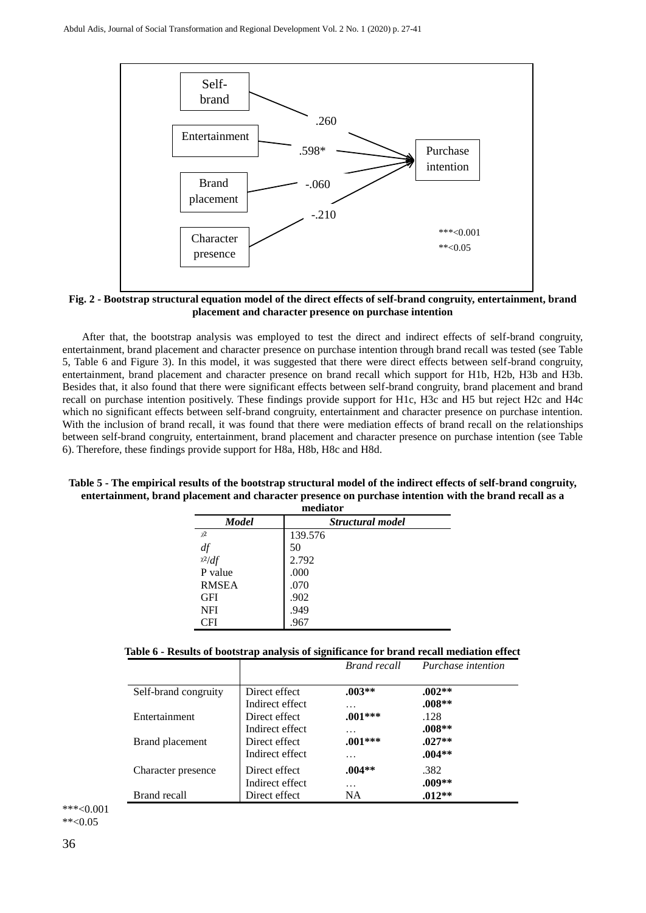

**Fig. 2 - Bootstrap structural equation model of the direct effects of self-brand congruity, entertainment, brand placement and character presence on purchase intention**

After that, the bootstrap analysis was employed to test the direct and indirect effects of self-brand congruity, entertainment, brand placement and character presence on purchase intention through brand recall was tested (see Table 5, Table 6 and Figure 3). In this model, it was suggested that there were direct effects between self-brand congruity, entertainment, brand placement and character presence on brand recall which support for H1b, H2b, H3b and H3b. Besides that, it also found that there were significant effects between self-brand congruity, brand placement and brand recall on purchase intention positively. These findings provide support for H1c, H3c and H5 but reject H2c and H4c which no significant effects between self-brand congruity, entertainment and character presence on purchase intention. With the inclusion of brand recall, it was found that there were mediation effects of brand recall on the relationships between self-brand congruity, entertainment, brand placement and character presence on purchase intention (see Table 6). Therefore, these findings provide support for H8a, H8b, H8c and H8d.

| mediator            |                  |  |  |  |  |
|---------------------|------------------|--|--|--|--|
| <b>Model</b>        | Structural model |  |  |  |  |
| $\chi$ <sup>2</sup> | 139.576          |  |  |  |  |
| df                  | 50               |  |  |  |  |
| $x^2/df$            | 2.792            |  |  |  |  |
| P value             | .000             |  |  |  |  |
| <b>RMSEA</b>        | .070             |  |  |  |  |
| <b>GFI</b>          | .902             |  |  |  |  |
| NFI                 | .949             |  |  |  |  |
| CFI                 | .967             |  |  |  |  |

**Table 5 - The empirical results of the bootstrap structural model of the indirect effects of self-brand congruity, entertainment, brand placement and character presence on purchase intention with the brand recall as a** 

|  |  | Table 6 - Results of bootstrap analysis of significance for brand recall mediation effect |  |  |
|--|--|-------------------------------------------------------------------------------------------|--|--|
|  |  |                                                                                           |  |  |

|                      |                 | <b>Brand recall</b> | <i>Purchase intention</i> |
|----------------------|-----------------|---------------------|---------------------------|
|                      |                 |                     |                           |
| Self-brand congruity | Direct effect   | $.003**$            | $.002**$                  |
|                      | Indirect effect | .                   | $.008**$                  |
| Entertainment        | Direct effect   | $.001***$           | .128                      |
|                      | Indirect effect | .                   | $.008**$                  |
| Brand placement      | Direct effect   | $.001***$           | $.027**$                  |
|                      | Indirect effect | .                   | $.004**$                  |
| Character presence   | Direct effect   | $.004**$            | .382                      |
|                      | Indirect effect | .                   | $.009**$                  |
| Brand recall         | Direct effect   | <b>NA</b>           | $.012**$                  |

\*\*\*<0.001  $*$   $< 0.05$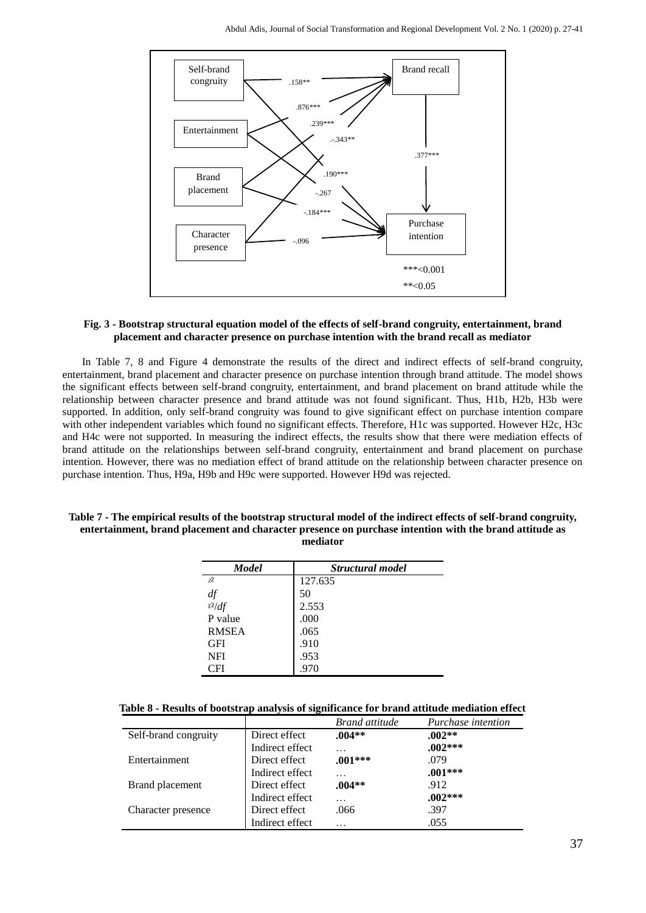

## **Fig. 3 - Bootstrap structural equation model of the effects of self-brand congruity, entertainment, brand placement and character presence on purchase intention with the brand recall as mediator**

In Table 7, 8 and Figure 4 demonstrate the results of the direct and indirect effects of self-brand congruity, entertainment, brand placement and character presence on purchase intention through brand attitude. The model shows the significant effects between self-brand congruity, entertainment, and brand placement on brand attitude while the relationship between character presence and brand attitude was not found significant. Thus, H1b, H2b, H3b were supported. In addition, only self-brand congruity was found to give significant effect on purchase intention compare with other independent variables which found no significant effects. Therefore, H1c was supported. However H2c, H3c and H4c were not supported. In measuring the indirect effects, the results show that there were mediation effects of brand attitude on the relationships between self-brand congruity, entertainment and brand placement on purchase intention. However, there was no mediation effect of brand attitude on the relationship between character presence on purchase intention. Thus, H9a, H9b and H9c were supported. However H9d was rejected.

## **Table 7 - The empirical results of the bootstrap structural model of the indirect effects of self-brand congruity, entertainment, brand placement and character presence on purchase intention with the brand attitude as mediator**

| <b>Model</b> | Structural model |
|--------------|------------------|
| $x^2$        | 127.635          |
| df           | 50               |
| $x^2/df$     | 2.553            |
| P value      | .000             |
| <b>RMSEA</b> | .065             |
| <b>GFI</b>   | .910             |
| <b>NFI</b>   | .953             |
| CFI          | .970             |

## **Table 8 - Results of bootstrap analysis of significance for brand attitude mediation effect**

|                      |                 | <b>Brand attitude</b> | Purchase intention |
|----------------------|-----------------|-----------------------|--------------------|
| Self-brand congruity | Direct effect   | $.004**$              | $.002**$           |
|                      | Indirect effect | .                     | $.002***$          |
| Entertainment        | Direct effect   | $.001***$             | .079               |
|                      | Indirect effect | .                     | $.001***$          |
| Brand placement      | Direct effect   | $.004**$              | .912               |
|                      | Indirect effect | .                     | $.002***$          |
| Character presence   | Direct effect   | .066                  | .397               |
|                      | Indirect effect | .                     | .055               |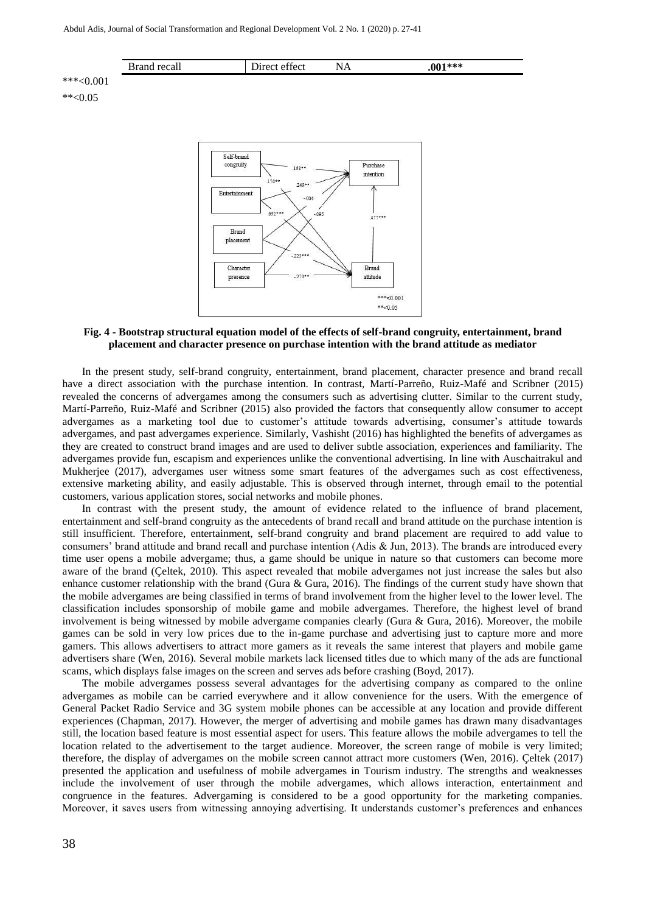



#### **Fig. 4 - Bootstrap structural equation model of the effects of self-brand congruity, entertainment, brand placement and character presence on purchase intention with the brand attitude as mediator**

In the present study, self-brand congruity, entertainment, brand placement, character presence and brand recall have a direct association with the purchase intention. In contrast, Martí-Parreño, Ruiz-Mafé and Scribner (2015) revealed the concerns of advergames among the consumers such as advertising clutter. Similar to the current study, Martí-Parreño, Ruiz-Mafé and Scribner (2015) also provided the factors that consequently allow consumer to accept advergames as a marketing tool due to customer's attitude towards advertising, consumer's attitude towards advergames, and past advergames experience. Similarly, Vashisht (2016) has highlighted the benefits of advergames as they are created to construct brand images and are used to deliver subtle association, experiences and familiarity. The advergames provide fun, escapism and experiences unlike the conventional advertising. In line with Auschaitrakul and Mukherjee (2017), advergames user witness some smart features of the advergames such as cost effectiveness, extensive marketing ability, and easily adjustable. This is observed through internet, through email to the potential customers, various application stores, social networks and mobile phones.

In contrast with the present study, the amount of evidence related to the influence of brand placement, entertainment and self-brand congruity as the antecedents of brand recall and brand attitude on the purchase intention is still insufficient. Therefore, entertainment, self-brand congruity and brand placement are required to add value to consumers' brand attitude and brand recall and purchase intention (Adis & Jun, 2013). The brands are introduced every time user opens a mobile advergame; thus, a game should be unique in nature so that customers can become more aware of the brand (Çeltek, 2010). This aspect revealed that mobile advergames not just increase the sales but also enhance customer relationship with the brand (Gura  $\&$  Gura, 2016). The findings of the current study have shown that the mobile advergames are being classified in terms of brand involvement from the higher level to the lower level. The classification includes sponsorship of mobile game and mobile advergames. Therefore, the highest level of brand involvement is being witnessed by mobile advergame companies clearly (Gura & Gura, 2016). Moreover, the mobile games can be sold in very low prices due to the in-game purchase and advertising just to capture more and more gamers. This allows advertisers to attract more gamers as it reveals the same interest that players and mobile game advertisers share (Wen, 2016). Several mobile markets lack licensed titles due to which many of the ads are functional scams, which displays false images on the screen and serves ads before crashing (Boyd, 2017).

The mobile advergames possess several advantages for the advertising company as compared to the online advergames as mobile can be carried everywhere and it allow convenience for the users. With the emergence of General Packet Radio Service and 3G system mobile phones can be accessible at any location and provide different experiences (Chapman, 2017). However, the merger of advertising and mobile games has drawn many disadvantages still, the location based feature is most essential aspect for users. This feature allows the mobile advergames to tell the location related to the advertisement to the target audience. Moreover, the screen range of mobile is very limited; therefore, the display of advergames on the mobile screen cannot attract more customers (Wen, 2016). Çeltek (2017) presented the application and usefulness of mobile advergames in Tourism industry. The strengths and weaknesses include the involvement of user through the mobile advergames, which allows interaction, entertainment and congruence in the features. Advergaming is considered to be a good opportunity for the marketing companies. Moreover, it saves users from witnessing annoying advertising. It understands customer's preferences and enhances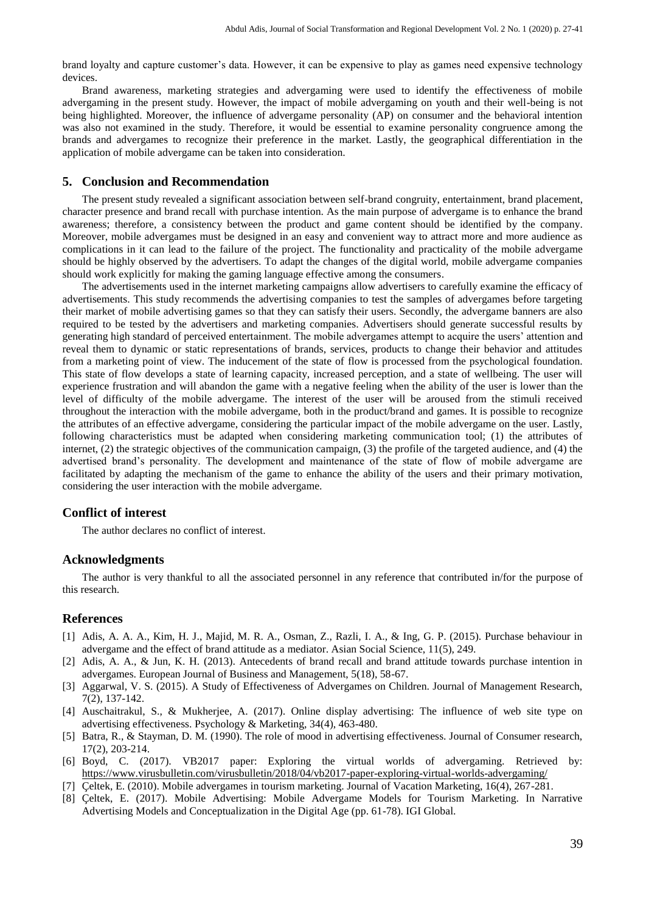brand loyalty and capture customer's data. However, it can be expensive to play as games need expensive technology devices.

Brand awareness, marketing strategies and advergaming were used to identify the effectiveness of mobile advergaming in the present study. However, the impact of mobile advergaming on youth and their well-being is not being highlighted. Moreover, the influence of advergame personality (AP) on consumer and the behavioral intention was also not examined in the study. Therefore, it would be essential to examine personality congruence among the brands and advergames to recognize their preference in the market. Lastly, the geographical differentiation in the application of mobile advergame can be taken into consideration.

## **5. Conclusion and Recommendation**

The present study revealed a significant association between self-brand congruity, entertainment, brand placement, character presence and brand recall with purchase intention. As the main purpose of advergame is to enhance the brand awareness; therefore, a consistency between the product and game content should be identified by the company. Moreover, mobile advergames must be designed in an easy and convenient way to attract more and more audience as complications in it can lead to the failure of the project. The functionality and practicality of the mobile advergame should be highly observed by the advertisers. To adapt the changes of the digital world, mobile advergame companies should work explicitly for making the gaming language effective among the consumers.

The advertisements used in the internet marketing campaigns allow advertisers to carefully examine the efficacy of advertisements. This study recommends the advertising companies to test the samples of advergames before targeting their market of mobile advertising games so that they can satisfy their users. Secondly, the advergame banners are also required to be tested by the advertisers and marketing companies. Advertisers should generate successful results by generating high standard of perceived entertainment. The mobile advergames attempt to acquire the users' attention and reveal them to dynamic or static representations of brands, services, products to change their behavior and attitudes from a marketing point of view. The inducement of the state of flow is processed from the psychological foundation. This state of flow develops a state of learning capacity, increased perception, and a state of wellbeing. The user will experience frustration and will abandon the game with a negative feeling when the ability of the user is lower than the level of difficulty of the mobile advergame. The interest of the user will be aroused from the stimuli received throughout the interaction with the mobile advergame, both in the product/brand and games. It is possible to recognize the attributes of an effective advergame, considering the particular impact of the mobile advergame on the user. Lastly, following characteristics must be adapted when considering marketing communication tool; (1) the attributes of internet, (2) the strategic objectives of the communication campaign, (3) the profile of the targeted audience, and (4) the advertised brand's personality. The development and maintenance of the state of flow of mobile advergame are facilitated by adapting the mechanism of the game to enhance the ability of the users and their primary motivation, considering the user interaction with the mobile advergame.

## **Conflict of interest**

The author declares no conflict of interest.

## **Acknowledgments**

The author is very thankful to all the associated personnel in any reference that contributed in/for the purpose of this research.

## **References**

- [1] Adis, A. A. A., Kim, H. J., Majid, M. R. A., Osman, Z., Razli, I. A., & Ing, G. P. (2015). Purchase behaviour in advergame and the effect of brand attitude as a mediator. Asian Social Science, 11(5), 249.
- [2] Adis, A. A., & Jun, K. H. (2013). Antecedents of brand recall and brand attitude towards purchase intention in advergames. European Journal of Business and Management, 5(18), 58-67.
- [3] Aggarwal, V. S. (2015). A Study of Effectiveness of Advergames on Children. Journal of Management Research, 7(2), 137-142.
- [4] Auschaitrakul, S., & Mukherjee, A. (2017). Online display advertising: The influence of web site type on advertising effectiveness. Psychology & Marketing, 34(4), 463-480.
- [5] Batra, R., & Stayman, D. M. (1990). The role of mood in advertising effectiveness. Journal of Consumer research, 17(2), 203-214.
- [6] Boyd, C. (2017). VB2017 paper: Exploring the virtual worlds of advergaming. Retrieved by: <https://www.virusbulletin.com/virusbulletin/2018/04/vb2017-paper-exploring-virtual-worlds-advergaming/>
- [7] Çeltek, E. (2010). Mobile advergames in tourism marketing. Journal of Vacation Marketing, 16(4), 267-281.
- [8] Çeltek, E. (2017). Mobile Advertising: Mobile Advergame Models for Tourism Marketing. In Narrative Advertising Models and Conceptualization in the Digital Age (pp. 61-78). IGI Global.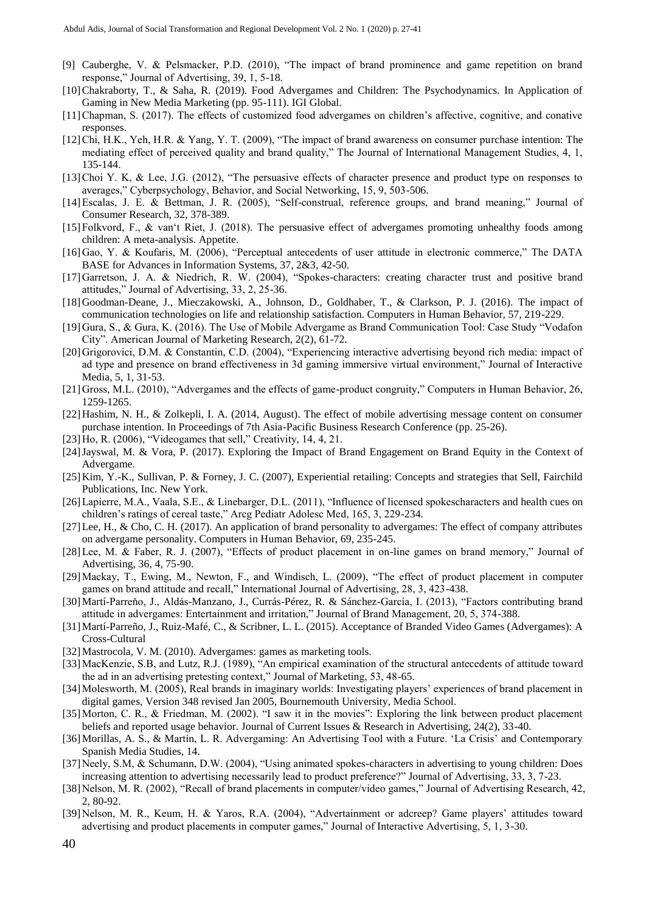- [9] Cauberghe, V. & Pelsmacker, P.D. (2010), "The impact of brand prominence and game repetition on brand response," Journal of Advertising, 39, 1, 5-18.
- [10]Chakraborty, T., & Saha, R. (2019). Food Advergames and Children: The Psychodynamics. In Application of Gaming in New Media Marketing (pp. 95-111). IGI Global.
- [11]Chapman, S. (2017). The effects of customized food advergames on children's affective, cognitive, and conative responses.
- [12]Chi, H.K., Yeh, H.R. & Yang, Y. T. (2009), "The impact of brand awareness on consumer purchase intention: The mediating effect of perceived quality and brand quality," The Journal of International Management Studies, 4, 1, 135-144.
- [13]Choi Y. K, & Lee, J.G. (2012), "The persuasive effects of character presence and product type on responses to averages," Cyberpsychology, Behavior, and Social Networking, 15, 9, 503-506.
- [14]Escalas, J. E. & Bettman, J. R. (2005), "Self-construal, reference groups, and brand meaning," Journal of Consumer Research, 32, 378-389.
- [15]Folkvord, F., & van't Riet, J. (2018). The persuasive effect of advergames promoting unhealthy foods among children: A meta-analysis. Appetite.
- [16]Gao, Y. & Koufaris, M. (2006), "Perceptual antecedents of user attitude in electronic commerce," The DATA BASE for Advances in Information Systems, 37, 2&3, 42-50.
- [17]Garretson, J. A. & Niedrich, R. W. (2004), "Spokes-characters: creating character trust and positive brand attitudes," Journal of Advertising, 33, 2, 25-36.
- [18]Goodman-Deane, J., Mieczakowski, A., Johnson, D., Goldhaber, T., & Clarkson, P. J. (2016). The impact of communication technologies on life and relationship satisfaction. Computers in Human Behavior, 57, 219-229.
- [19]Gura, S., & Gura, K. (2016). The Use of Mobile Advergame as Brand Communication Tool: Case Study "Vodafon City". American Journal of Marketing Research, 2(2), 61-72.
- [20]Grigorovici, D.M. & Constantin, C.D. (2004), "Experiencing interactive advertising beyond rich media: impact of ad type and presence on brand effectiveness in 3d gaming immersive virtual environment," Journal of Interactive Media, 5, 1, 31-53.
- [21]Gross, M.L. (2010), "Advergames and the effects of game-product congruity," Computers in Human Behavior, 26, 1259-1265.
- [22]Hashim, N. H., & Zolkepli, I. A. (2014, August). The effect of mobile advertising message content on consumer purchase intention. In Proceedings of 7th Asia-Pacific Business Research Conference (pp. 25-26).
- [23]Ho, R. (2006), "Videogames that sell," Creativity, 14, 4, 21.
- [24]Jayswal, M. & Vora, P. (2017). Exploring the Impact of Brand Engagement on Brand Equity in the Context of Advergame.
- [25]Kim, Y.-K., Sullivan, P. & Forney, J. C. (2007), Experiential retailing: Concepts and strategies that Sell, Fairchild Publications, Inc. New York.
- [26]Lapierre, M.A., Vaala, S.E., & Linebarger, D.L. (2011), "Influence of licensed spokescharacters and health cues on children's ratings of cereal taste," Arcg Pediatr Adolesc Med, 165, 3, 229-234.
- [27]Lee, H., & Cho, C. H. (2017). An application of brand personality to advergames: The effect of company attributes on advergame personality. Computers in Human Behavior, 69, 235-245.
- [28]Lee, M. & Faber, R. J. (2007), "Effects of product placement in on-line games on brand memory," Journal of Advertising, 36, 4, 75-90.
- [29]Mackay, T., Ewing, M., Newton, F., and Windisch, L. (2009), "The effect of product placement in computer games on brand attitude and recall," International Journal of Advertising, 28, 3, 423-438.
- [30]Martí-Parreňo, J., Aldás-Manzano, J., Currás-Pérez, R. & Sánchez-García, I. (2013), "Factors contributing brand attitude in advergames: Entertainment and irritation," Journal of Brand Management, 20, 5, 374-388.
- [31]Martí-Parreño, J., Ruiz-Mafé, C., & Scribner, L. L. (2015). Acceptance of Branded Video Games (Advergames): A Cross-Cultural
- [32]Mastrocola, V. M. (2010). Advergames: games as marketing tools.
- [33]MacKenzie, S.B, and Lutz, R.J. (1989), "An empirical examination of the structural antecedents of attitude toward the ad in an advertising pretesting context," Journal of Marketing, 53, 48-65.
- [34]Molesworth, M. (2005), Real brands in imaginary worlds: Investigating players' experiences of brand placement in digital games, Version 348 revised Jan 2005, Bournemouth University, Media School.
- [35]Morton, C. R., & Friedman, M. (2002). "I saw it in the movies": Exploring the link between product placement beliefs and reported usage behavior. Journal of Current Issues & Research in Advertising, 24(2), 33-40.
- [36]Morillas, A. S., & Martín, L. R. Advergaming: An Advertising Tool with a Future. 'La Crisis' and Contemporary Spanish Media Studies, 14.
- [37] Neely, S.M, & Schumann, D.W. (2004), "Using animated spokes-characters in advertising to young children: Does increasing attention to advertising necessarily lead to product preference?" Journal of Advertising, 33, 3, 7-23.
- [38]Nelson, M. R. (2002), "Recall of brand placements in computer/video games," Journal of Advertising Research, 42, 2, 80-92.
- [39]Nelson, M. R., Keum, H. & Yaros, R.A. (2004), "Advertainment or adcreep? Game players' attitudes toward advertising and product placements in computer games," Journal of Interactive Advertising, 5, 1, 3-30.